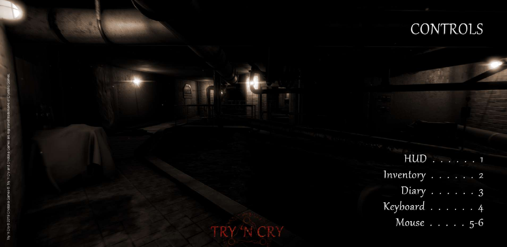

## CONTROLS

HUD . . . . . . 1 Inventory . . . . . . 2 Diary . . . . . . 3 Keyboard . . . . . . 4 Mouse . . . . . 5-6

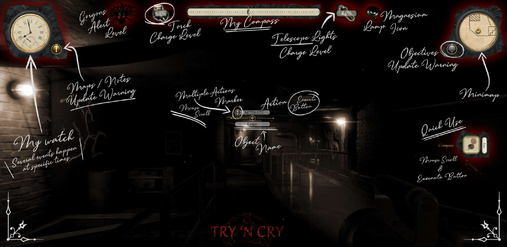Name Object

Juick Mrs

**Magnesium** Lamp Icon

My Compass

Telescope Lights Charge Level



Several events happen at specific times... My watch





Objectives (1 Update Warning



Mouse

Scroll

Mouse Scroll

Execnute Button &

Maps / Notes Update Warning

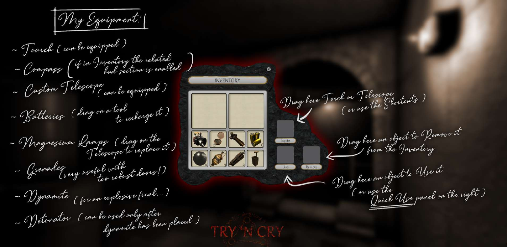-

Drag here Touch or Telegrope h or "I eleziope"<br>( or use the Shortcuts ) Drag here an object to Remove it BBLU Equip from the Inventory  $O(2J)$ Drag here an object to Use it ( or use the ze the Use panel on the right )<br>Quick Use panel on the right

TRY'N CRY



dynamite has been placed ) - Toarch - Batteries -- Yynamite (for an explosive final...) -- Compass (4 -- Custom Telescope can be equipped) -- Grenades wery useful with ) if in Inventory the rekated ( can be equipped ) ( drag on <sup>a</sup> tool - Detonator (can be used only after ( drag on the - Magnezium Lamps (aury replace it) to recharge it ) Magnesium Lamps hud section is enabled My Equipment: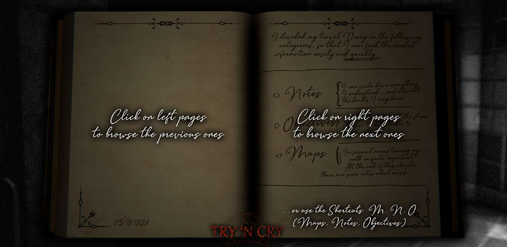$\sim$ I divided my travel Diary in the following information easily and quickly. 9 can write down everything o Notes I understand and also all the doubts of may have Click on right pages to browse the next ones In several areas tracing my 0 Thaps path in garte important! At the onl of this chapter. there are gone notes about maps. ... or use the Shortcuts M, N, O (Maps, Notes, Objectives)



Click on left pages to browse the previous ones

 $-0$   $-0$ 



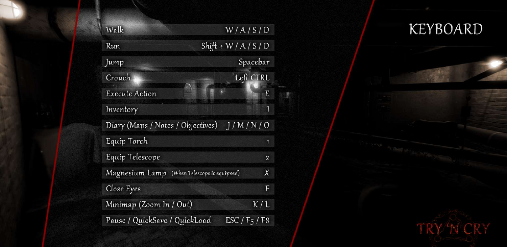Walk Run Jump Crouch Execute Action Inventory Diary (Maps / Notes / Objectives) Equip Torch Equip Telescope Magnesium Lamp (When Telescope is equipped) Close Eyes Minimap (Zoom In / Out) Pause / QuickSave / QuickLoad  $Shift + W / A / S / D$ 

## W/A/S/D KEYBOARD



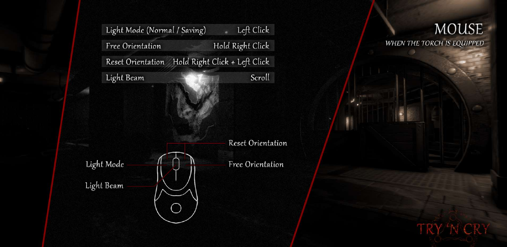## MOUSE WHEN THE TORCH IS EQUIPPED



Light Mode (Normal / Saving) Free Orientation Reset Orientation Hold Right Click + Left Click Light Beam Left Click Hold Right Click Scroll

Reset Orientation



Light Beam